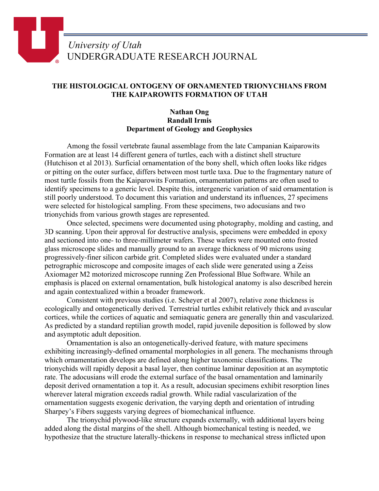## *University of Utah* UNDERGRADUATE RESEARCH JOURNAL

## **THE HISTOLOGICAL ONTOGENY OF ORNAMENTED TRIONYCHIANS FROM THE KAIPAROWITS FORMATION OF UTAH**

## **Nathan Ong Randall Irmis Department of Geology and Geophysics**

Among the fossil vertebrate faunal assemblage from the late Campanian Kaiparowits Formation are at least 14 different genera of turtles, each with a distinct shell structure (Hutchison et al 2013). Surficial ornamentation of the bony shell, which often looks like ridges or pitting on the outer surface, differs between most turtle taxa. Due to the fragmentary nature of most turtle fossils from the Kaiparowits Formation, ornamentation patterns are often used to identify specimens to a generic level. Despite this, intergeneric variation of said ornamentation is still poorly understood. To document this variation and understand its influences, 27 specimens were selected for histological sampling. From these specimens, two adocusians and two trionychids from various growth stages are represented.

Once selected, specimens were documented using photography, molding and casting, and 3D scanning. Upon their approval for destructive analysis, specimens were embedded in epoxy and sectioned into one- to three-millimeter wafers. These wafers were mounted onto frosted glass microscope slides and manually ground to an average thickness of 90 microns using progressively-finer silicon carbide grit. Completed slides were evaluated under a standard petrographic microscope and composite images of each slide were generated using a Zeiss Axiomager M2 motorized microscope running Zen Professional Blue Software. While an emphasis is placed on external ornamentation, bulk histological anatomy is also described herein and again contextualized within a broader framework.

Consistent with previous studies (i.e. Scheyer et al 2007), relative zone thickness is ecologically and ontogenetically derived. Terrestrial turtles exhibit relatively thick and avascular cortices, while the cortices of aquatic and semiaquatic genera are generally thin and vascularized. As predicted by a standard reptilian growth model, rapid juvenile deposition is followed by slow and asymptotic adult deposition.

Ornamentation is also an ontogenetically-derived feature, with mature specimens exhibiting increasingly-defined ornamental morphologies in all genera. The mechanisms through which ornamentation develops are defined along higher taxonomic classifications. The trionychids will rapidly deposit a basal layer, then continue laminar deposition at an asymptotic rate. The adocusians will erode the external surface of the basal ornamentation and laminarily deposit derived ornamentation a top it. As a result, adocusian specimens exhibit resorption lines wherever lateral migration exceeds radial growth. While radial vascularization of the ornamentation suggests exogenic derivation, the varying depth and orientation of intruding Sharpey's Fibers suggests varying degrees of biomechanical influence.

The trionychid plywood-like structure expands externally, with additional layers being added along the distal margins of the shell. Although biomechanical testing is needed, we hypothesize that the structure laterally-thickens in response to mechanical stress inflicted upon